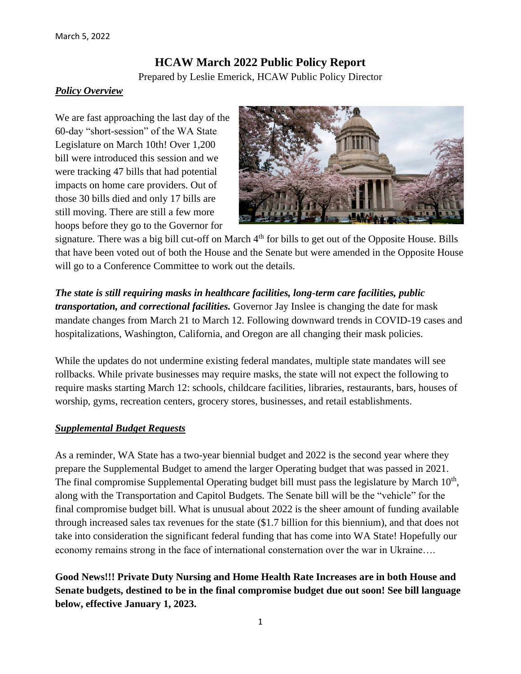# **HCAW March 2022 Public Policy Report**

Prepared by Leslie Emerick, HCAW Public Policy Director

### *Policy Overview*

We are fast approaching the last day of the 60-day "short-session" of the WA State Legislature on March 10th! Over 1,200 bill were introduced this session and we were tracking 47 bills that had potential impacts on home care providers. Out of those 30 bills died and only 17 bills are still moving. There are still a few more hoops before they go to the Governor for



signature. There was a big bill cut-off on March 4<sup>th</sup> for bills to get out of the Opposite House. Bills that have been voted out of both the House and the Senate but were amended in the Opposite House will go to a Conference Committee to work out the details.

### *The state is still requiring masks in healthcare facilities, long-term care facilities, public*

*transportation, and correctional facilities.* Governor Jay Inslee is changing the date for mask mandate changes from March 21 to March 12. Following downward trends in COVID-19 cases and hospitalizations, Washington, California, and Oregon are all changing their mask policies.

While the updates do not undermine existing federal mandates, multiple state mandates will see rollbacks. While private businesses may require masks, the state will not expect the following to require masks starting March 12: schools, childcare facilities, libraries, restaurants, bars, houses of worship, gyms, recreation centers, grocery stores, businesses, and retail establishments.

### *Supplemental Budget Requests*

As a reminder, WA State has a two-year biennial budget and 2022 is the second year where they prepare the Supplemental Budget to amend the larger Operating budget that was passed in 2021. The final compromise Supplemental Operating budget bill must pass the legislature by March  $10<sup>th</sup>$ , along with the Transportation and Capitol Budgets. The Senate bill will be the "vehicle" for the final compromise budget bill. What is unusual about 2022 is the sheer amount of funding available through increased sales tax revenues for the state (\$1.7 billion for this biennium), and that does not take into consideration the significant federal funding that has come into WA State! Hopefully our economy remains strong in the face of international consternation over the war in Ukraine….

**Good News!!! Private Duty Nursing and Home Health Rate Increases are in both House and Senate budgets, destined to be in the final compromise budget due out soon! See bill language below, effective January 1, 2023.**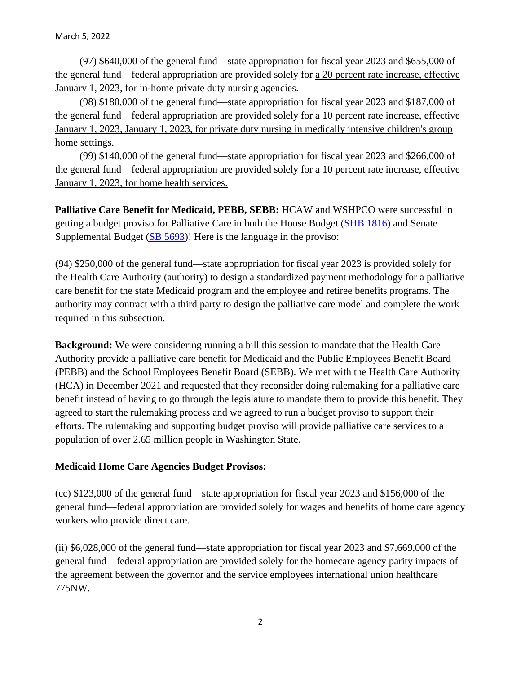(97) \$640,000 of the general fund—state appropriation for fiscal year 2023 and \$655,000 of the general fund—federal appropriation are provided solely for a 20 percent rate increase, effective January 1, 2023, for in-home private duty nursing agencies.

(98) \$180,000 of the general fund—state appropriation for fiscal year 2023 and \$187,000 of the general fund—federal appropriation are provided solely for a 10 percent rate increase, effective January 1, 2023, January 1, 2023, for private duty nursing in medically intensive children's group home settings.

(99) \$140,000 of the general fund—state appropriation for fiscal year 2023 and \$266,000 of the general fund—federal appropriation are provided solely for a 10 percent rate increase, effective January 1, 2023, for home health services.

**Palliative Care Benefit for Medicaid, PEBB, SEBB:** HCAW and WSHPCO were successful in getting a budget proviso for Palliative Care in both the House Budget [\(SHB 1816\)](https://app.leg.wa.gov/billsummary?BillNumber=1816&Year=2021&Initiative=false) and Senate Supplemental Budget [\(SB 5693\)](https://app.leg.wa.gov/billsummary?BillNumber=5693&Initiative=false&Year=2021)! Here is the language in the proviso:

(94) \$250,000 of the general fund—state appropriation for fiscal year 2023 is provided solely for the Health Care Authority (authority) to design a standardized payment methodology for a palliative care benefit for the state Medicaid program and the employee and retiree benefits programs. The authority may contract with a third party to design the palliative care model and complete the work required in this subsection.

**Background:** We were considering running a bill this session to mandate that the Health Care Authority provide a palliative care benefit for Medicaid and the Public Employees Benefit Board (PEBB) and the School Employees Benefit Board (SEBB). We met with the Health Care Authority (HCA) in December 2021 and requested that they reconsider doing rulemaking for a palliative care benefit instead of having to go through the legislature to mandate them to provide this benefit. They agreed to start the rulemaking process and we agreed to run a budget proviso to support their efforts. The rulemaking and supporting budget proviso will provide palliative care services to a population of over 2.65 million people in Washington State.

### **Medicaid Home Care Agencies Budget Provisos:**

(cc) \$123,000 of the general fund—state appropriation for fiscal year 2023 and \$156,000 of the general fund—federal appropriation are provided solely for wages and benefits of home care agency workers who provide direct care.

(ii) \$6,028,000 of the general fund—state appropriation for fiscal year 2023 and \$7,669,000 of the general fund—federal appropriation are provided solely for the homecare agency parity impacts of the agreement between the governor and the service employees international union healthcare 775NW.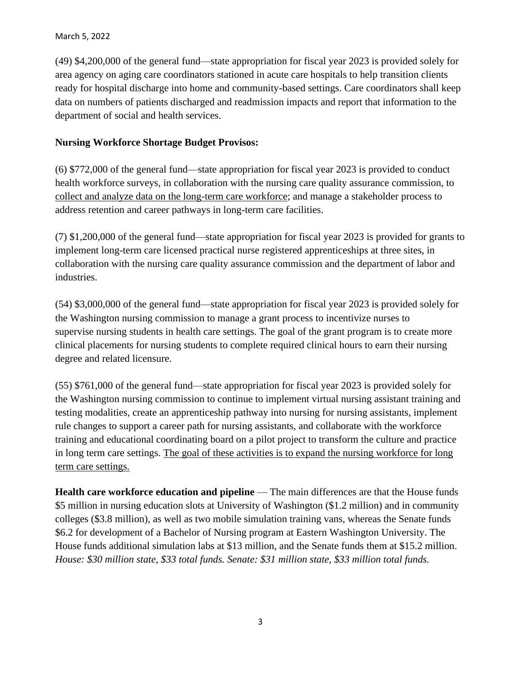### March 5, 2022

(49) \$4,200,000 of the general fund—state appropriation for fiscal year 2023 is provided solely for area agency on aging care coordinators stationed in acute care hospitals to help transition clients ready for hospital discharge into home and community-based settings. Care coordinators shall keep data on numbers of patients discharged and readmission impacts and report that information to the department of social and health services.

## **Nursing Workforce Shortage Budget Provisos:**

(6) \$772,000 of the general fund—state appropriation for fiscal year 2023 is provided to conduct health workforce surveys, in collaboration with the nursing care quality assurance commission, to collect and analyze data on the long-term care workforce; and manage a stakeholder process to address retention and career pathways in long-term care facilities.

(7) \$1,200,000 of the general fund—state appropriation for fiscal year 2023 is provided for grants to implement long-term care licensed practical nurse registered apprenticeships at three sites, in collaboration with the nursing care quality assurance commission and the department of labor and industries.

(54) \$3,000,000 of the general fund—state appropriation for fiscal year 2023 is provided solely for the Washington nursing commission to manage a grant process to incentivize nurses to supervise nursing students in health care settings. The goal of the grant program is to create more clinical placements for nursing students to complete required clinical hours to earn their nursing degree and related licensure.

(55) \$761,000 of the general fund—state appropriation for fiscal year 2023 is provided solely for the Washington nursing commission to continue to implement virtual nursing assistant training and testing modalities, create an apprenticeship pathway into nursing for nursing assistants, implement rule changes to support a career path for nursing assistants, and collaborate with the workforce training and educational coordinating board on a pilot project to transform the culture and practice in long term care settings. The goal of these activities is to expand the nursing workforce for long term care settings.

**Health care workforce education and pipeline** — The main differences are that the House funds \$5 million in nursing education slots at University of Washington (\$1.2 million) and in community colleges (\$3.8 million), as well as two mobile simulation training vans, whereas the Senate funds \$6.2 for development of a Bachelor of Nursing program at Eastern Washington University. The House funds additional simulation labs at \$13 million, and the Senate funds them at \$15.2 million. *House: \$30 million state, \$33 total funds. Senate: \$31 million state, \$33 million total funds.*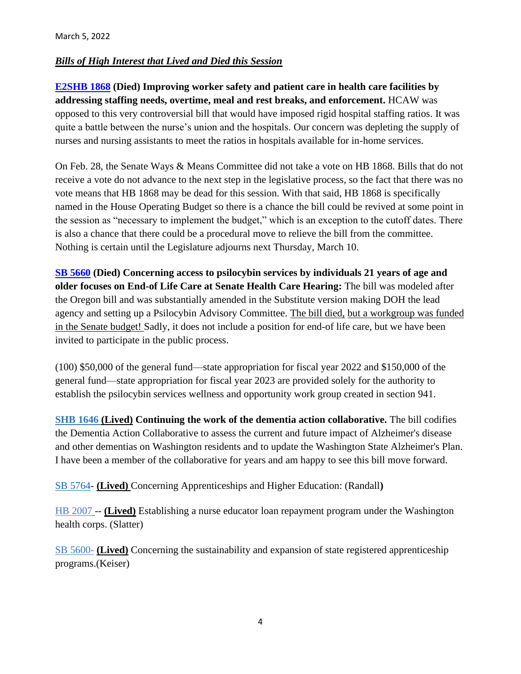## *Bills of High Interest that Lived and Died this Session*

**[E2SHB 1868](http://app.leg.wa.gov/billsummary?Year=2021&BillNumber=1868) (Died) Improving worker safety and patient care in health care facilities by addressing staffing needs, overtime, meal and rest breaks, and enforcement.** HCAW was opposed to this very controversial bill that would have imposed rigid hospital staffing ratios. It was quite a battle between the nurse's union and the hospitals. Our concern was depleting the supply of nurses and nursing assistants to meet the ratios in hospitals available for in-home services.

On Feb. 28, the Senate Ways & Means Committee did not take a vote on HB 1868. Bills that do not receive a vote do not advance to the next step in the legislative process, so the fact that there was no vote means that HB 1868 may be dead for this session. With that said, HB 1868 is specifically named in the House Operating Budget so there is a chance the bill could be revived at some point in the session as "necessary to implement the budget," which is an exception to the cutoff dates. There is also a chance that there could be a procedural move to relieve the bill from the committee. Nothing is certain until the Legislature adjourns next Thursday, March 10.

**[SB 5660](https://app.leg.wa.gov/billsummary?BillNumber=5660&Year=2021&Initiative=false) (Died) Concerning access to psilocybin services by individuals 21 years of age and older focuses on End-of Life Care at Senate Health Care Hearing:** The bill was modeled after the Oregon bill and was substantially amended in the Substitute version making DOH the lead agency and setting up a Psilocybin Advisory Committee. The bill died, but a workgroup was funded in the Senate budget! Sadly, it does not include a position for end-of life care, but we have been invited to participate in the public process.

(100) \$50,000 of the general fund—state appropriation for fiscal year 2022 and \$150,000 of the general fund—state appropriation for fiscal year 2023 are provided solely for the authority to establish the psilocybin services wellness and opportunity work group created in section 941.

**[SHB 1646](http://app.leg.wa.gov/billsummary?Year=2021&BillNumber=1646) (Lived) Continuing the work of the dementia action collaborative.** The bill codifies the Dementia Action Collaborative to assess the current and future impact of Alzheimer's disease and other dementias on Washington residents and to update the Washington State Alzheimer's Plan. I have been a member of the collaborative for years and am happy to see this bill move forward.

[SB 5764-](https://app.leg.wa.gov/billsummary?BillNumber=5764&Initiative=false&Year=2021) **(Lived)** Concerning Apprenticeships and Higher Education: (Randall**)** 

[HB 2007](https://mandrillapp.com/track/click/30092732/app.leg.wa.gov?p=eyJzIjoiZkJOdWh1TlF2WjFHLW9rWGJGVEt3TXA1NWNZIiwidiI6MSwicCI6IntcInVcIjozMDA5MjczMixcInZcIjoxLFwidXJsXCI6XCJodHRwczpcXFwvXFxcL2FwcC5sZWcud2EuZ292XFxcL2JpbGxzdW1tYXJ5P1llYXI9MjAyMiZCaWxsTnVtYmVyPTIwMDdcIixcImlkXCI6XCJlMjNjMjM1Njg2MGE0ZGNlOWFlMWVhMTFkYjlmY2JjMFwiLFwidXJsX2lkc1wiOltcIjRjYmIyMGY3YTY3YWEwNWQ5Zjk4Y2QwMDMwZjg1ODdlZTc3NmJmNjJcIl19In0) -- **(Lived)** Establishing a nurse educator loan repayment program under the Washington health corps. (Slatter)

[SB 5600-](https://app.leg.wa.gov/billsummary/?BillNumber=5600&Year=2021&Initiative=false) **(Lived)** Concerning the sustainability and expansion of state registered apprenticeship programs.(Keiser)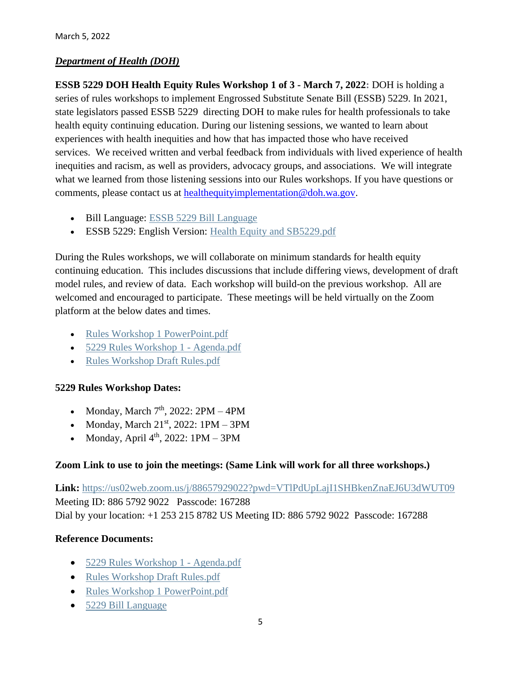# *Department of Health (DOH)*

**ESSB 5229 DOH Health Equity Rules Workshop 1 of 3 - March 7, 2022:** DOH is holding a series of rules workshops to implement Engrossed Substitute Senate Bill (ESSB) 5229. In 2021, state legislators passed ESSB 5229 directing DOH to make rules for health professionals to take health equity continuing education. During our listening sessions, we wanted to learn about experiences with health inequities and how that has impacted those who have received services. We received written and verbal feedback from individuals with lived experience of health inequities and racism, as well as providers, advocacy groups, and associations. We will integrate what we learned from those listening sessions into our Rules workshops. If you have questions or comments, please contact us at [healthequityimplementation@doh.wa.gov.](mailto:healthequityimplementation@doh.wa.gov)

- Bill Language: [ESSB 5229 Bill Language](https://lnks.gd/l/eyJhbGciOiJIUzI1NiJ9.eyJidWxsZXRpbl9saW5rX2lkIjoxMDIsInVyaSI6ImJwMjpjbGljayIsImJ1bGxldGluX2lkIjoiMjAyMjAzMDEuNTQyMTAxMjEiLCJ1cmwiOiJodHRwczovL2NvbnRlbnQuZ292ZGVsaXZlcnkuY29tL2F0dGFjaG1lbnRzL1dBRE9ILzIwMjIvMDMvMDEvZmlsZV9hdHRhY2htZW50cy8yMDkwMjgyLzUyMjktUy5TTC5wZGYifQ.ZbQIxWwPBNaxkJyB8rP0RY2Gf91T1qPhUA_o68iFrCA/s/717258116/br/127346561222-l)
- ESSB 5229: English Version: [Health Equity and SB5229.pdf](https://lnks.gd/l/eyJhbGciOiJIUzI1NiJ9.eyJidWxsZXRpbl9saW5rX2lkIjoxMDMsInVyaSI6ImJwMjpjbGljayIsImJ1bGxldGluX2lkIjoiMjAyMjAzMDEuNTQyMTAxMjEiLCJ1cmwiOiJodHRwczovL2NvbnRlbnQuZ292ZGVsaXZlcnkuY29tL2F0dGFjaG1lbnRzL1dBRE9ILzIwMjIvMDMvMDEvZmlsZV9hdHRhY2htZW50cy8yMDkwMTgzL0hlYWx0aCUyMEVxdWl0eSUyMGFuZCUyMFNCNTIyOS5wZGYifQ.CM3X1SvxSHRDNDyEqyMmfvqKbPfa-g-MKPbsi6el_Uo/s/717258116/br/127346561222-l)

During the Rules workshops, we will collaborate on minimum standards for health equity continuing education. This includes discussions that include differing views, development of draft model rules, and review of data. Each workshop will build-on the previous workshop. All are welcomed and encouraged to participate. These meetings will be held virtually on the Zoom platform at the below dates and times.

- [Rules Workshop 1 PowerPoint.pdf](https://lnks.gd/l/eyJhbGciOiJIUzI1NiJ9.eyJidWxsZXRpbl9saW5rX2lkIjoxMDUsInVyaSI6ImJwMjpjbGljayIsImJ1bGxldGluX2lkIjoiMjAyMjAzMDEuNTQyMTAxMjEiLCJ1cmwiOiJodHRwczovL2NvbnRlbnQuZ292ZGVsaXZlcnkuY29tL2F0dGFjaG1lbnRzL1dBRE9ILzIwMjIvMDMvMDEvZmlsZV9hdHRhY2htZW50cy8yMDkwMjAyL1J1bGVzJTIwV29ya3Nob3AlMjAxJTIwUG93ZXJQb2ludC5wZGYifQ.OimOCh59a2DixDtzLk1gEVmSzAhoCjBGLkvBysIDqdk/s/717258116/br/127346561222-l)
- [5229 Rules Workshop 1 -](https://lnks.gd/l/eyJhbGciOiJIUzI1NiJ9.eyJidWxsZXRpbl9saW5rX2lkIjoxMDYsInVyaSI6ImJwMjpjbGljayIsImJ1bGxldGluX2lkIjoiMjAyMjAzMDEuNTQyMTAxMjEiLCJ1cmwiOiJodHRwczovL2NvbnRlbnQuZ292ZGVsaXZlcnkuY29tL2F0dGFjaG1lbnRzL1dBRE9ILzIwMjIvMDMvMDEvZmlsZV9hdHRhY2htZW50cy8yMDkwMjYyLzUyMjklMjBSdWxlcyUyMFdvcmtzaG9wJTIwMSUyMC0lMjBBZ2VuZGEucGRmIn0.lSyxskAUmwiaajfc1w030dnCyKmB_dhov5l4cTjGRdE/s/717258116/br/127346561222-l) Agenda.pdf
- [Rules Workshop Draft Rules.pdf](https://lnks.gd/l/eyJhbGciOiJIUzI1NiJ9.eyJidWxsZXRpbl9saW5rX2lkIjoxMDcsInVyaSI6ImJwMjpjbGljayIsImJ1bGxldGluX2lkIjoiMjAyMjAzMDEuNTQyMTAxMjEiLCJ1cmwiOiJodHRwczovL2NvbnRlbnQuZ292ZGVsaXZlcnkuY29tL2F0dGFjaG1lbnRzL1dBRE9ILzIwMjIvMDMvMDEvZmlsZV9hdHRhY2htZW50cy8yMDkwMjc0L1J1bGVzJTIwV29ya3Nob3AlMjBEcmFmdCUyMFJ1bGVzLnBkZiJ9.Ihu4k68cdz803DrH6h2m4k4cTrdOtyUxNnTDGHBCY2Q/s/717258116/br/127346561222-l)

### **5229 Rules Workshop Dates:**

- Monday, March  $7<sup>th</sup>$ , 2022: 2PM 4PM
- Monday, March  $21^{st}$ ,  $2022$ : 1PM 3PM
- Monday, April  $4<sup>th</sup>$ , 2022: 1PM 3PM

### **Zoom Link to use to join the meetings: (Same Link will work for all three workshops.)**

**Link:** [https://us02web.zoom.us/j/88657929022?pwd=VTlPdUpLajI1SHBkenZnaEJ6U3dWUT09](https://lnks.gd/l/eyJhbGciOiJIUzI1NiJ9.eyJidWxsZXRpbl9saW5rX2lkIjoxMDgsInVyaSI6ImJwMjpjbGljayIsImJ1bGxldGluX2lkIjoiMjAyMjAzMDEuNTQyMTAxMjEiLCJ1cmwiOiJodHRwczovL3VzMDJ3ZWIuem9vbS51cy9qLzg4NjU3OTI5MDIyP3B3ZD1WVGxQZFVwTGFqSTFTSEJrZW5abmFFSjZVM2RXVVQwOSJ9.58nu3w9TOM3sgy3GAnRLFQbOks8_hM6BO-f0fHxm9BY/s/717258116/br/127346561222-l) Meeting ID: 886 5792 9022 Passcode: 167288 Dial by your location: +1 253 215 8782 US Meeting ID: 886 5792 9022 Passcode: 167288

### **Reference Documents:**

- [5229 Rules Workshop 1 -](https://lnks.gd/l/eyJhbGciOiJIUzI1NiJ9.eyJidWxsZXRpbl9saW5rX2lkIjoxMDksInVyaSI6ImJwMjpjbGljayIsImJ1bGxldGluX2lkIjoiMjAyMjAzMDEuNTQyMTAxMjEiLCJ1cmwiOiJodHRwczovL2NvbnRlbnQuZ292ZGVsaXZlcnkuY29tL2F0dGFjaG1lbnRzL1dBRE9ILzIwMjIvMDMvMDEvZmlsZV9hdHRhY2htZW50cy8yMDkwMjYyLzUyMjklMjBSdWxlcyUyMFdvcmtzaG9wJTIwMSUyMC0lMjBBZ2VuZGEucGRmIn0.d4jx0Soy2z1x9K0UjN2zVVWosdpYhV7DSB2ZIN1X9f4/s/717258116/br/127346561222-l) Agenda.pdf
- [Rules Workshop Draft Rules.pdf](https://lnks.gd/l/eyJhbGciOiJIUzI1NiJ9.eyJidWxsZXRpbl9saW5rX2lkIjoxMTAsInVyaSI6ImJwMjpjbGljayIsImJ1bGxldGluX2lkIjoiMjAyMjAzMDEuNTQyMTAxMjEiLCJ1cmwiOiJodHRwczovL2NvbnRlbnQuZ292ZGVsaXZlcnkuY29tL2F0dGFjaG1lbnRzL1dBRE9ILzIwMjIvMDMvMDEvZmlsZV9hdHRhY2htZW50cy8yMDkwMjc0L1J1bGVzJTIwV29ya3Nob3AlMjBEcmFmdCUyMFJ1bGVzLnBkZiJ9.UTJeT9izVXNmRxMc5DoaUuuROtTjkkIhqlvKMver-NM/s/717258116/br/127346561222-l)
- [Rules Workshop 1 PowerPoint.pdf](https://lnks.gd/l/eyJhbGciOiJIUzI1NiJ9.eyJidWxsZXRpbl9saW5rX2lkIjoxMTEsInVyaSI6ImJwMjpjbGljayIsImJ1bGxldGluX2lkIjoiMjAyMjAzMDEuNTQyMTAxMjEiLCJ1cmwiOiJodHRwczovL2NvbnRlbnQuZ292ZGVsaXZlcnkuY29tL2F0dGFjaG1lbnRzL1dBRE9ILzIwMjIvMDMvMDEvZmlsZV9hdHRhY2htZW50cy8yMDkwMjAyL1J1bGVzJTIwV29ya3Nob3AlMjAxJTIwUG93ZXJQb2ludC5wZGYifQ.gdVkXvxJyuO_y9g4qaM1FjHjFr8ale67McsuOO7IRWs/s/717258116/br/127346561222-l)
- [5229 Bill Language](https://lnks.gd/l/eyJhbGciOiJIUzI1NiJ9.eyJidWxsZXRpbl9saW5rX2lkIjoxMTIsInVyaSI6ImJwMjpjbGljayIsImJ1bGxldGluX2lkIjoiMjAyMjAzMDEuNTQyMTAxMjEiLCJ1cmwiOiJodHRwczovL2NvbnRlbnQuZ292ZGVsaXZlcnkuY29tL2F0dGFjaG1lbnRzL1dBRE9ILzIwMjIvMDMvMDEvZmlsZV9hdHRhY2htZW50cy8yMDkwMjgyLzUyMjktUy5TTC5wZGYifQ.ii9V6MJCFFofTPO7pLa_DT6CCUsgtR3dHUIy8AbwT_s/s/717258116/br/127346561222-l)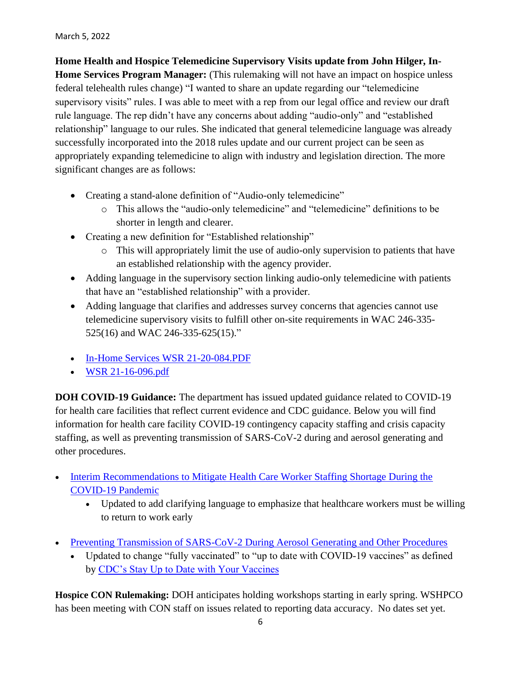**Home Health and Hospice Telemedicine Supervisory Visits update from John Hilger, In-Home Services Program Manager:** (This rulemaking will not have an impact on hospice unless federal telehealth rules change) "I wanted to share an update regarding our "telemedicine supervisory visits" rules. I was able to meet with a rep from our legal office and review our draft rule language. The rep didn't have any concerns about adding "audio-only" and "established relationship" language to our rules. She indicated that general telemedicine language was already successfully incorporated into the 2018 rules update and our current project can be seen as appropriately expanding telemedicine to align with industry and legislation direction. The more significant changes are as follows:

- Creating a stand-alone definition of "Audio-only telemedicine"
	- o This allows the "audio-only telemedicine" and "telemedicine" definitions to be shorter in length and clearer.
- Creating a new definition for "Established relationship"
	- o This will appropriately limit the use of audio-only supervision to patients that have an established relationship with the agency provider.
- Adding language in the supervisory section linking audio-only telemedicine with patients that have an "established relationship" with a provider.
- Adding language that clarifies and addresses survey concerns that agencies cannot use telemedicine supervisory visits to fulfill other on-site requirements in WAC 246-335- 525(16) and WAC 246-335-625(15)."
- [In-Home Services WSR 21-20-084.PDF](https://lnks.gd/l/eyJhbGciOiJIUzI1NiJ9.eyJidWxsZXRpbl9saW5rX2lkIjoxMDAsInVyaSI6ImJwMjpjbGljayIsImJ1bGxldGluX2lkIjoiMjAyMTExMjQuNDkzNTUyMDEiLCJ1cmwiOiJodHRwczovL2NvbnRlbnQuZ292ZGVsaXZlcnkuY29tL2F0dGFjaG1lbnRzL1dBRE9ILzIwMjEvMTEvMjQvZmlsZV9hdHRhY2htZW50cy8yMDA1NjAzL0luLUhvbWUlMjBTZXJ2aWNlcyUyMFdTUiUyMDIxLTIwLTA4NC5QREYifQ.2KM6WI_ejY5Cm0-wXFhkq0GJj9nJyOiAlwIE1KCiM0c/s/717258116/br/121696839483-l)
- [WSR 21-16-096.pdf](https://lnks.gd/l/eyJhbGciOiJIUzI1NiJ9.eyJidWxsZXRpbl9saW5rX2lkIjoxMDEsInVyaSI6ImJwMjpjbGljayIsImJ1bGxldGluX2lkIjoiMjAyMTExMjQuNDkzNTUyMDEiLCJ1cmwiOiJodHRwczovL2NvbnRlbnQuZ292ZGVsaXZlcnkuY29tL2F0dGFjaG1lbnRzL1dBRE9ILzIwMjEvMTEvMjQvZmlsZV9hdHRhY2htZW50cy8yMDA1NjEyL1dTUiUyMDIxLTE2LTA5Ni5wZGYifQ.HyxNxHyV0yeUScEi1RKHOCtANvaXc76Wwdtpn-gmwPw/s/717258116/br/121696839483-l)

**DOH COVID-19 Guidance:** The department has issued updated guidance related to COVID-19 for health care facilities that reflect current evidence and CDC guidance. Below you will find information for health care facility COVID-19 contingency capacity staffing and crisis capacity staffing, as well as preventing transmission of SARS-CoV-2 during and aerosol generating and other procedures.

- [Interim Recommendations to Mitigate Health Care Worker Staffing Shortage During the](https://lnks.gd/l/eyJhbGciOiJIUzI1NiJ9.eyJidWxsZXRpbl9saW5rX2lkIjoxMDAsInVyaSI6ImJwMjpjbGljayIsImJ1bGxldGluX2lkIjoiMjAyMjAyMTAuNTMyMTk5ODEiLCJ1cmwiOiJodHRwczovL2djYzAyLnNhZmVsaW5rcy5wcm90ZWN0aW9uLm91dGxvb2suY29tLz91cmw9aHR0cHMlM0ElMkYlMkZ3d3cuZG9oLndhLmdvdiUyRlBvcnRhbHMlMkYxJTJGRG9jdW1lbnRzJTJGMTYwMCUyRmNvcm9uYXZpcnVzJTJGODIwLTIxNy1JbnRlcmltSENTdGFmZlNob3J0YWdlLnBkZiZkYXRhPTA0JTdDMDElN0NKb2huLkhpbGdlciU0MERPSC5XQS5HT1YlN0NiMGQ0YmY1NTNmNjc0Mjk0Y2JlOTA4ZDllY2MzZmJhZSU3QzExZDBlMjE3MjY0ZTQwMGE4YmEwNTdkY2MxMjdkNzJkJTdDMCU3QzAlN0M2Mzc4MDExNDg3NDM3ODAyNjMlN0NVbmtub3duJTdDVFdGcGJHWnNiM2Q4ZXlKV0lqb2lNQzR3TGpBd01EQWlMQ0pRSWpvaVYybHVNeklpTENKQlRpSTZJazFoYVd3aUxDSlhWQ0k2TW4wJTNEJTdDMzAwMCZzZGF0YT1qSDJyN0tFdTRUZkdudmlkcjlJOTEwJTJGRHc5N2lsQ3V5TSUyQjVmMEpONiUyRmkwJTNEJnJlc2VydmVkPTAifQ.YGkFAgLqgajoOw12wcZUB82N2d8tPAmnyGRAWwHb2l0/s/717258116/br/126453286768-l)  [COVID-19 Pandemic](https://lnks.gd/l/eyJhbGciOiJIUzI1NiJ9.eyJidWxsZXRpbl9saW5rX2lkIjoxMDAsInVyaSI6ImJwMjpjbGljayIsImJ1bGxldGluX2lkIjoiMjAyMjAyMTAuNTMyMTk5ODEiLCJ1cmwiOiJodHRwczovL2djYzAyLnNhZmVsaW5rcy5wcm90ZWN0aW9uLm91dGxvb2suY29tLz91cmw9aHR0cHMlM0ElMkYlMkZ3d3cuZG9oLndhLmdvdiUyRlBvcnRhbHMlMkYxJTJGRG9jdW1lbnRzJTJGMTYwMCUyRmNvcm9uYXZpcnVzJTJGODIwLTIxNy1JbnRlcmltSENTdGFmZlNob3J0YWdlLnBkZiZkYXRhPTA0JTdDMDElN0NKb2huLkhpbGdlciU0MERPSC5XQS5HT1YlN0NiMGQ0YmY1NTNmNjc0Mjk0Y2JlOTA4ZDllY2MzZmJhZSU3QzExZDBlMjE3MjY0ZTQwMGE4YmEwNTdkY2MxMjdkNzJkJTdDMCU3QzAlN0M2Mzc4MDExNDg3NDM3ODAyNjMlN0NVbmtub3duJTdDVFdGcGJHWnNiM2Q4ZXlKV0lqb2lNQzR3TGpBd01EQWlMQ0pRSWpvaVYybHVNeklpTENKQlRpSTZJazFoYVd3aUxDSlhWQ0k2TW4wJTNEJTdDMzAwMCZzZGF0YT1qSDJyN0tFdTRUZkdudmlkcjlJOTEwJTJGRHc5N2lsQ3V5TSUyQjVmMEpONiUyRmkwJTNEJnJlc2VydmVkPTAifQ.YGkFAgLqgajoOw12wcZUB82N2d8tPAmnyGRAWwHb2l0/s/717258116/br/126453286768-l)
	- Updated to add clarifying language to emphasize that healthcare workers must be willing to return to work early
- [Preventing Transmission of SARS-CoV-2 During Aerosol Generating and Other Procedures](https://lnks.gd/l/eyJhbGciOiJIUzI1NiJ9.eyJidWxsZXRpbl9saW5rX2lkIjoxMDEsInVyaSI6ImJwMjpjbGljayIsImJ1bGxldGluX2lkIjoiMjAyMjAyMTAuNTMyMTk5ODEiLCJ1cmwiOiJodHRwczovL2djYzAyLnNhZmVsaW5rcy5wcm90ZWN0aW9uLm91dGxvb2suY29tLz91cmw9aHR0cHMlM0ElMkYlMkZ3d3cuZG9oLndhLmdvdiUyRlBvcnRhbHMlMkYxJTJGRG9jdW1lbnRzJTJGMTYwMCUyRmNvcm9uYXZpcnVzJTJGQ09WSUQxOUluZmVjdGlvbkNvbnRyb2xGb3JBZXJvc29sR2VuZXJhdGluZ1Byb2NlZHVyZXMucGRmJmRhdGE9MDQlN0MwMSU3Q0pvaG4uSGlsZ2VyJTQwRE9ILldBLkdPViU3Q2IwZDRiZjU1M2Y2NzQyOTRjYmU5MDhkOWVjYzNmYmFlJTdDMTFkMGUyMTcyNjRlNDAwYThiYTA1N2RjYzEyN2Q3MmQlN0MwJTdDMCU3QzYzNzgwMTE0ODc0Mzc4MDI2MyU3Q1Vua25vd24lN0NUV0ZwYkdac2IzZDhleUpXSWpvaU1DNHdMakF3TURBaUxDSlFJam9pVjJsdU16SWlMQ0pCVGlJNklrMWhhV3dpTENKWFZDSTZNbjAlM0QlN0MzMDAwJnNkYXRhPU1vb3c3WVE5WklONnREbWxnaHlDbjh2VWE5R0F1WFh5dWY5NnNFT2pBZDglM0QmcmVzZXJ2ZWQ9MCJ9.HdI-KeFTvG-uLLtX0hVKSoUjfLOWDiuPMcM2xtbF-50/s/717258116/br/126453286768-l)
	- Updated to change "fully vaccinated" to "up to date with COVID-19 vaccines" as defined by [CDC's Stay Up to Date with Your Vaccines](https://lnks.gd/l/eyJhbGciOiJIUzI1NiJ9.eyJidWxsZXRpbl9saW5rX2lkIjoxMDIsInVyaSI6ImJwMjpjbGljayIsImJ1bGxldGluX2lkIjoiMjAyMjAyMTAuNTMyMTk5ODEiLCJ1cmwiOiJodHRwczovL2djYzAyLnNhZmVsaW5rcy5wcm90ZWN0aW9uLm91dGxvb2suY29tLz91cmw9aHR0cHMlM0ElMkYlMkZ3d3cuY2RjLmdvdiUyRmNvcm9uYXZpcnVzJTJGMjAxOS1uY292JTJGdmFjY2luZXMlMkZzdGF5LXVwLXRvLWRhdGUuaHRtbCUzRkNEQ19BQV9yZWZWYWwlM0RodHRwcyUyNTNBJTI1MkYlMjUyRnd3dy5jZGMuZ292JTI1MkZjb3JvbmF2aXJ1cyUyNTJGMjAxOS1uY292JTI1MkZ2YWNjaW5lcyUyNTJGZnVsbHktdmFjY2luYXRlZC5odG1sJmRhdGE9MDQlN0MwMSU3Q0pvaG4uSGlsZ2VyJTQwRE9ILldBLkdPViU3Q2IwZDRiZjU1M2Y2NzQyOTRjYmU5MDhkOWVjYzNmYmFlJTdDMTFkMGUyMTcyNjRlNDAwYThiYTA1N2RjYzEyN2Q3MmQlN0MwJTdDMCU3QzYzNzgwMTE0ODc0Mzc4MDI2MyU3Q1Vua25vd24lN0NUV0ZwYkdac2IzZDhleUpXSWpvaU1DNHdMakF3TURBaUxDSlFJam9pVjJsdU16SWlMQ0pCVGlJNklrMWhhV3dpTENKWFZDSTZNbjAlM0QlN0MzMDAwJnNkYXRhPWVGQzlzeHNSTWVpSEVJRURvRlR1VUJPZ3JQRUJjU3dYdWoxUUREdU5TY1ElM0QmcmVzZXJ2ZWQ9MCJ9.MeW1txmNUugkdFjQURNWx0QxLrBVoTnf2Htr805wPfw/s/717258116/br/126453286768-l)

**Hospice CON Rulemaking:** DOH anticipates holding workshops starting in early spring. WSHPCO has been meeting with CON staff on issues related to reporting data accuracy. No dates set yet.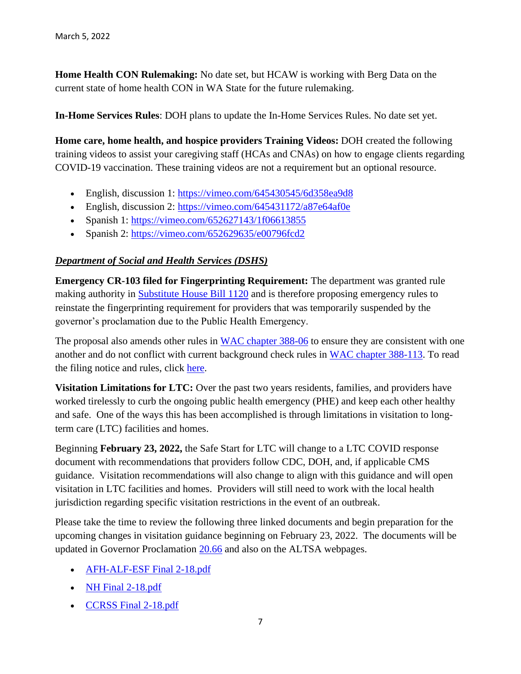**Home Health CON Rulemaking:** No date set, but HCAW is working with Berg Data on the current state of home health CON in WA State for the future rulemaking.

**In-Home Services Rules**: DOH plans to update the In-Home Services Rules. No date set yet.

**Home care, home health, and hospice providers Training Videos:** DOH created the following training videos to assist your caregiving staff (HCAs and CNAs) on how to engage clients regarding COVID-19 vaccination. These training videos are not a requirement but an optional resource.

- English, discussion 1: [https://vimeo.com/645430545/6d358ea9d8](https://lnks.gd/l/eyJhbGciOiJIUzI1NiJ9.eyJidWxsZXRpbl9saW5rX2lkIjoxMDAsInVyaSI6ImJwMjpjbGljayIsImJ1bGxldGluX2lkIjoiMjAyMjAyMTUuNTM0NjMyMTEiLCJ1cmwiOiJodHRwczovL2djYzAyLnNhZmVsaW5rcy5wcm90ZWN0aW9uLm91dGxvb2suY29tLz91cmw9aHR0cHMlM0ElMkYlMkZ2aW1lby5jb20lMkY2NDU0MzA1NDUlMkY2ZDM1OGVhOWQ4JmRhdGE9MDQlN0MwMSU3Q0pvaG4uSGlsZ2VyJTQwRE9ILldBLkdPViU3Q2I5N2JhNzQ4NjJmMjRhMTg1NDRmMDhkOWVjZWQzMjllJTdDMTFkMGUyMTcyNjRlNDAwYThiYTA1N2RjYzEyN2Q3MmQlN0MwJTdDMCU3QzYzNzgwMTMyNTc1ODk5NTg0MyU3Q1Vua25vd24lN0NUV0ZwYkdac2IzZDhleUpXSWpvaU1DNHdMakF3TURBaUxDSlFJam9pVjJsdU16SWlMQ0pCVGlJNklrMWhhV3dpTENKWFZDSTZNbjAlM0QlN0MzMDAwJnNkYXRhPXRvM3ByUWklMkZPWkRCbVo5ekx6RzZZUzlSUnFrZHBkNWNvanlKNGM0JTJGZWdzJTNEJnJlc2VydmVkPTAifQ.Z1p2OA6z_xp8Pi1ykQrdZHOlo3yvVtTbNj2Z6MAG67M/s/717258116/br/126664712333-l)
- English, discussion 2: [https://vimeo.com/645431172/a87e64af0e](https://lnks.gd/l/eyJhbGciOiJIUzI1NiJ9.eyJidWxsZXRpbl9saW5rX2lkIjoxMDEsInVyaSI6ImJwMjpjbGljayIsImJ1bGxldGluX2lkIjoiMjAyMjAyMTUuNTM0NjMyMTEiLCJ1cmwiOiJodHRwczovL2djYzAyLnNhZmVsaW5rcy5wcm90ZWN0aW9uLm91dGxvb2suY29tLz91cmw9aHR0cHMlM0ElMkYlMkZ2aW1lby5jb20lMkY2NDU0MzExNzIlMkZhODdlNjRhZjBlJmRhdGE9MDQlN0MwMSU3Q0pvaG4uSGlsZ2VyJTQwRE9ILldBLkdPViU3Q2I5N2JhNzQ4NjJmMjRhMTg1NDRmMDhkOWVjZWQzMjllJTdDMTFkMGUyMTcyNjRlNDAwYThiYTA1N2RjYzEyN2Q3MmQlN0MwJTdDMCU3QzYzNzgwMTMyNTc1ODk5NTg0MyU3Q1Vua25vd24lN0NUV0ZwYkdac2IzZDhleUpXSWpvaU1DNHdMakF3TURBaUxDSlFJam9pVjJsdU16SWlMQ0pCVGlJNklrMWhhV3dpTENKWFZDSTZNbjAlM0QlN0MzMDAwJnNkYXRhPXBKNWFDcHN4MyUyQnNyRWhBNDhVYktUOXUlMkJvT0FMWWlza0IlMkZ4ZU9YZU0lMkJsYyUzRCZyZXNlcnZlZD0wIn0.tc0J9pynYqV5-TwmkcKotSEgrCnhenW4txvRUTUefqY/s/717258116/br/126664712333-l)
- Spanish 1: [https://vimeo.com/652627143/1f06613855](https://lnks.gd/l/eyJhbGciOiJIUzI1NiJ9.eyJidWxsZXRpbl9saW5rX2lkIjoxMDIsInVyaSI6ImJwMjpjbGljayIsImJ1bGxldGluX2lkIjoiMjAyMjAyMTUuNTM0NjMyMTEiLCJ1cmwiOiJodHRwczovL2djYzAyLnNhZmVsaW5rcy5wcm90ZWN0aW9uLm91dGxvb2suY29tLz91cmw9aHR0cHMlM0ElMkYlMkZ2aW1lby5jb20lMkY2NTI2MjcxNDMlMkYxZjA2NjEzODU1JmRhdGE9MDQlN0MwMSU3Q0pvaG4uSGlsZ2VyJTQwRE9ILldBLkdPViU3Q2I5N2JhNzQ4NjJmMjRhMTg1NDRmMDhkOWVjZWQzMjllJTdDMTFkMGUyMTcyNjRlNDAwYThiYTA1N2RjYzEyN2Q3MmQlN0MwJTdDMCU3QzYzNzgwMTMyNTc1ODk5NTg0MyU3Q1Vua25vd24lN0NUV0ZwYkdac2IzZDhleUpXSWpvaU1DNHdMakF3TURBaUxDSlFJam9pVjJsdU16SWlMQ0pCVGlJNklrMWhhV3dpTENKWFZDSTZNbjAlM0QlN0MzMDAwJnNkYXRhPWdaZDRYZ3prVGluZmhvQUQ0VzUwdUJlaEZMcEtuJTJGNTJSTHRpR3A0VkFkOCUzRCZyZXNlcnZlZD0wIn0.zgJDO_8PqQzmQCZsbo_XDVS_2xz0tRWvyZCaCwIlPPY/s/717258116/br/126664712333-l)
- Spanish 2: [https://vimeo.com/652629635/e00796fcd2](https://lnks.gd/l/eyJhbGciOiJIUzI1NiJ9.eyJidWxsZXRpbl9saW5rX2lkIjoxMDMsInVyaSI6ImJwMjpjbGljayIsImJ1bGxldGluX2lkIjoiMjAyMjAyMTUuNTM0NjMyMTEiLCJ1cmwiOiJodHRwczovL2djYzAyLnNhZmVsaW5rcy5wcm90ZWN0aW9uLm91dGxvb2suY29tLz91cmw9aHR0cHMlM0ElMkYlMkZ2aW1lby5jb20lMkY2NTI2Mjk2MzUlMkZlMDA3OTZmY2QyJmRhdGE9MDQlN0MwMSU3Q0pvaG4uSGlsZ2VyJTQwRE9ILldBLkdPViU3Q2I5N2JhNzQ4NjJmMjRhMTg1NDRmMDhkOWVjZWQzMjllJTdDMTFkMGUyMTcyNjRlNDAwYThiYTA1N2RjYzEyN2Q3MmQlN0MwJTdDMCU3QzYzNzgwMTMyNTc1ODk5NTg0MyU3Q1Vua25vd24lN0NUV0ZwYkdac2IzZDhleUpXSWpvaU1DNHdMakF3TURBaUxDSlFJam9pVjJsdU16SWlMQ0pCVGlJNklrMWhhV3dpTENKWFZDSTZNbjAlM0QlN0MzMDAwJnNkYXRhPWdXelliM3ZUVU95OERYTzBtU0V6NkdJQ0tiWHlXcmJsallxSEsxZkZrY2MlM0QmcmVzZXJ2ZWQ9MCJ9.nGtTjBN4Gx2340gU4DBolNLTwnQLJr79dl-f7yiBSOM/s/717258116/br/126664712333-l)

## *Department of Social and Health Services (DSHS)*

**Emergency CR-103 filed for Fingerprinting Requirement:** The department was granted rule making authority in [Substitute House Bill 1120](https://lawfilesext.leg.wa.gov/biennium/2021-22/Pdf/Bills/Session%20Laws/House/1120-S.SL.pdf?q=20220301111835&utm_medium=email&utm_source=govdelivery) and is therefore proposing emergency rules to reinstate the fingerprinting requirement for providers that was temporarily suspended by the governor's proclamation due to the Public Health Emergency.

The proposal also amends other rules in [WAC chapter 388-06](https://app.leg.wa.gov/WAC/default.aspx?cite=388-06&utm_medium=email&utm_source=govdelivery) to ensure they are consistent with one another and do not conflict with current background check rules in [WAC chapter 388-113.](https://app.leg.wa.gov/WAC/default.aspx?cite=388-113&utm_medium=email&utm_source=govdelivery) To read the filing notice and rules, click [here.](https://www.dshs.wa.gov/sites/default/files/rpau/ap/103E-22-06-074.pdf?utm_medium=email&utm_source=govdelivery)

**Visitation Limitations for LTC:** Over the past two years residents, families, and providers have worked tirelessly to curb the ongoing public health emergency (PHE) and keep each other healthy and safe. One of the ways this has been accomplished is through limitations in visitation to longterm care (LTC) facilities and homes.

Beginning **February 23, 2022,** the Safe Start for LTC will change to a LTC COVID response document with recommendations that providers follow CDC, DOH, and, if applicable CMS guidance. Visitation recommendations will also change to align with this guidance and will open visitation in LTC facilities and homes. Providers will still need to work with the local health jurisdiction regarding specific visitation restrictions in the event of an outbreak.

Please take the time to review the following three linked documents and begin preparation for the upcoming changes in visitation guidance beginning on February 23, 2022. The documents will be updated in Governor Proclamation [20.66](https://lnks.gd/l/eyJhbGciOiJIUzI1NiJ9.eyJidWxsZXRpbl9saW5rX2lkIjoxMDEsInVyaSI6ImJwMjpjbGljayIsImJ1bGxldGluX2lkIjoiMjAyMjAyMTguNTM2OTI0OTEiLCJ1cmwiOiJodHRwczovL2djYzAyLnNhZmVsaW5rcy5wcm90ZWN0aW9uLm91dGxvb2suY29tLz9kYXRhPTA0JTdDMDElN0NjbGFyZS5iYW50b2clNDBkc2hzLndhLmdvdiU3QzdjYzAzZWFlYWM0MTQxNDE0NThkMDhkOWYzMWZmNTA4JTdDMTFkMGUyMTcyNjRlNDAwYThiYTA1N2RjYzEyN2Q3MmQlN0MwJTdDMCU3QzYzNzgwODE0MDg0NzIwODQ1NCU3Q1Vua25vd24lN0NUV0ZwYkdac2IzZDhleUpXSWpvaU1DNHdMakF3TURBaUxDSlFJam9pVjJsdU16SWlMQ0pCVGlJNklrMWhhV3dpTENKWFZDSTZNbjAlM0QlN0MzMDAwJnJlc2VydmVkPTAmc2RhdGE9VTR5UGQ4MGQwbUR3bm9SRjczZjkxdDNMRXVHb2tWcU8zR2hZSVFSSkVGcyUzRCZ1cmw9aHR0cHMlM0ElMkYlMkZ3d3cuZ292ZXJub3Iud2EuZ292JTJGc2l0ZXMlMkZkZWZhdWx0JTJGZmlsZXMlMkZwcm9jbGFtYXRpb25zJTJGMjAtNjYlMjUyMC0lMjUyMENPVklELTE5JTI1MjBMVEMtT3BlcmF0aW9uc1Zpc2l0YXRpb24lMjUyMCUyNTI4dG1wJTI1MjkucGRmJnV0bV9tZWRpdW09ZW1haWwmdXRtX3NvdXJjZT1nb3ZkZWxpdmVyeSJ9._DZim35GQoK0gNVaeW4k56Xu4Pdje_C3MEXQnm9Ec5w/s/763120867/br/126899674888-l) and also on the ALTSA webpages.

- [AFH-ALF-ESF Final 2-18.pdf](https://lnks.gd/l/eyJhbGciOiJIUzI1NiJ9.eyJidWxsZXRpbl9saW5rX2lkIjoxMDMsInVyaSI6ImJwMjpjbGljayIsImJ1bGxldGluX2lkIjoiMjAyMjAyMTguNTM2OTI0OTEiLCJ1cmwiOiJodHRwczovL2NvbnRlbnQuZ292ZGVsaXZlcnkuY29tL2F0dGFjaG1lbnRzL1dBRFNIU0FMVFNBLzIwMjIvMDIvMTgvZmlsZV9hdHRhY2htZW50cy8yMDgxNTk5L0FGSC1BTEYtRVNGJTIwRmluYWwlMjAyLTE4LnBkZiJ9.ikH_56giNhy4FTHm3LuYzq4bLblzq4UOAXQhFXrHbGg/s/763120867/br/126899674888-l)
- [NH Final 2-18.pdf](https://lnks.gd/l/eyJhbGciOiJIUzI1NiJ9.eyJidWxsZXRpbl9saW5rX2lkIjoxMDQsInVyaSI6ImJwMjpjbGljayIsImJ1bGxldGluX2lkIjoiMjAyMjAyMTguNTM2OTI0OTEiLCJ1cmwiOiJodHRwczovL2NvbnRlbnQuZ292ZGVsaXZlcnkuY29tL2F0dGFjaG1lbnRzL1dBRFNIU0FMVFNBLzIwMjIvMDIvMTgvZmlsZV9hdHRhY2htZW50cy8yMDgxNjA5L05IJTIwRmluYWwlMjAyLTE4LnBkZiJ9.H6y5a1vXiGPQ5po8UINLzJH_Eus1mCGkI9e9m05khSo/s/763120867/br/126899674888-l)
- [CCRSS Final 2-18.pdf](https://lnks.gd/l/eyJhbGciOiJIUzI1NiJ9.eyJidWxsZXRpbl9saW5rX2lkIjoxMDUsInVyaSI6ImJwMjpjbGljayIsImJ1bGxldGluX2lkIjoiMjAyMjAyMTguNTM2OTI0OTEiLCJ1cmwiOiJodHRwczovL2NvbnRlbnQuZ292ZGVsaXZlcnkuY29tL2F0dGFjaG1lbnRzL1dBRFNIU0FMVFNBLzIwMjIvMDIvMTgvZmlsZV9hdHRhY2htZW50cy8yMDgxNjAyL0NDUlNTJTIwRmluYWwlMjAyLTE4LnBkZiJ9.Bx_uZ4H7ux7wj5jT2fYngQA-KSdkY7GDcPaB2Bd2wgY/s/763120867/br/126899674888-l)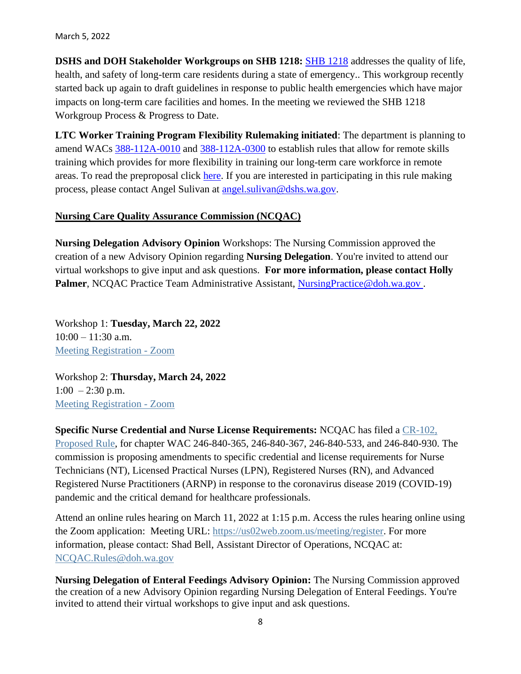March 5, 2022

**DSHS and DOH Stakeholder Workgroups on SHB 1218:** [SHB 1218](https://app.leg.wa.gov/billsummary?BillNumber=1218&Year=2021&Initiative=false) addresses the quality of life, health, and safety of long-term care residents during a state of emergency.. This workgroup recently started back up again to draft guidelines in response to public health emergencies which have major impacts on long-term care facilities and homes. In the meeting we reviewed the SHB 1218 Workgroup Process & Progress to Date.

**LTC Worker Training Program Flexibility Rulemaking initiated**: The department is planning to amend WACs [388-112A-0010](https://lnks.gd/l/eyJhbGciOiJIUzI1NiJ9.eyJidWxsZXRpbl9saW5rX2lkIjoxMDEsInVyaSI6ImJwMjpjbGljayIsImJ1bGxldGluX2lkIjoiMjAyMTExMDIuNDgyOTA2MTEiLCJ1cmwiOiJodHRwczovL2FwcC5sZWcud2EuZ292L1dBQy9kZWZhdWx0LmFzcHg_Y2l0ZT0zODgtMTEyYS0wMDEwJnV0bV9tZWRpdW09ZW1haWwmdXRtX3NvdXJjZT1nb3ZkZWxpdmVyeSJ9.LZBg8XmXSbvalqcHSSG4g63zRfX33OXoQo3prOOjg5s/s/815314662/br/116522721160-l) and [388-112A-0300](https://lnks.gd/l/eyJhbGciOiJIUzI1NiJ9.eyJidWxsZXRpbl9saW5rX2lkIjoxMDIsInVyaSI6ImJwMjpjbGljayIsImJ1bGxldGluX2lkIjoiMjAyMTExMDIuNDgyOTA2MTEiLCJ1cmwiOiJodHRwczovL2FwcC5sZWcud2EuZ292L1dBQy9kZWZhdWx0LmFzcHg_Y2l0ZT0zODgtMTEyQS0wMzAwJnV0bV9tZWRpdW09ZW1haWwmdXRtX3NvdXJjZT1nb3ZkZWxpdmVyeSJ9.zPZx5aKTk4bANNLC1Qjs-QEVIi4fndlIoFfKv5Sbh0E/s/815314662/br/116522721160-l) to establish rules that allow for remote skills training which provides for more flexibility in training our long-term care workforce in remote areas. To read the preproposal click [here.](https://lnks.gd/l/eyJhbGciOiJIUzI1NiJ9.eyJidWxsZXRpbl9saW5rX2lkIjoxMDMsInVyaSI6ImJwMjpjbGljayIsImJ1bGxldGluX2lkIjoiMjAyMTExMDIuNDgyOTA2MTEiLCJ1cmwiOiJodHRwczovL3d3dy5kc2hzLndhLmdvdi9zaXRlcy9kZWZhdWx0L2ZpbGVzL3JwYXUvZG9jdW1lbnRzLzEwMS0yMS0yMi0wNzYucGRmP3V0bV9tZWRpdW09ZW1haWwmdXRtX3NvdXJjZT1nb3ZkZWxpdmVyeSJ9.jW7ZFiKJOgnh0LleAmyoqsWhpn9XfFrgUObBMRpdoxU/s/815314662/br/116522721160-l) If you are interested in participating in this rule making process, please contact Angel Sulivan at [angel.sulivan@dshs.wa.gov.](mailto:angel.sulivan@dshs.wa.gov)

### **Nursing Care Quality Assurance Commission (NCQAC)**

**Nursing Delegation Advisory Opinion** Workshops: The Nursing Commission approved the creation of a new Advisory Opinion regarding **Nursing Delegation**. You're invited to attend our virtual workshops to give input and ask questions. **For more information, please contact Holly Palmer**, NCQAC Practice Team Administrative Assistant, NursingPractice@doh.wa.gov.

Workshop 1: **Tuesday, March 22, 2022**  $10:00 - 11:30$  a.m. [Meeting Registration -](https://lnks.gd/l/eyJhbGciOiJIUzI1NiJ9.eyJidWxsZXRpbl9saW5rX2lkIjoxMDAsInVyaSI6ImJwMjpjbGljayIsImJ1bGxldGluX2lkIjoiMjAyMjAyMTguNTM2Njg0OTEiLCJ1cmwiOiJodHRwczovL3VzMDJ3ZWIuem9vbS51cy9tZWV0aW5nL3JlZ2lzdGVyL3RaY29kZXFocmowdUc5VU9iU3F1VVlOOFpXd3IxRWJzUU5ydiJ9.BJeR4Q5lro5EAik2TlOSH5_Eia6IkB0YGqxQkhqtPdQ/s/717258116/br/126875682266-l) Zoom

Workshop 2: **Thursday, March 24, 2022**  $1:00 - 2:30$  p.m. [Meeting Registration -](https://lnks.gd/l/eyJhbGciOiJIUzI1NiJ9.eyJidWxsZXRpbl9saW5rX2lkIjoxMDEsInVyaSI6ImJwMjpjbGljayIsImJ1bGxldGluX2lkIjoiMjAyMjAyMTguNTM2Njg0OTEiLCJ1cmwiOiJodHRwczovL3VzMDJ3ZWIuem9vbS51cy9tZWV0aW5nL3JlZ2lzdGVyL3RaTWtjdTZoclRrdEdOM25MWHhCVFN4NkktQlE4azdOdTM1dSJ9.mVHnTmBz3VlwA4PQ-Rv-3x6k5-T4ZTPUOykuNs9HAhI/s/717258116/br/126875682266-l) Zoom

**Specific Nurse Credential and Nurse License Requirements:** NCQAC has filed a [CR-102,](https://lnks.gd/l/eyJhbGciOiJIUzI1NiJ9.eyJidWxsZXRpbl9saW5rX2lkIjoxMDAsInVyaSI6ImJwMjpjbGljayIsImJ1bGxldGluX2lkIjoiMjAyMjAyMDMuNTI4MDQ5ODEiLCJ1cmwiOiJodHRwczovL2NvbnRlbnQuZ292ZGVsaXZlcnkuY29tL2F0dGFjaG1lbnRzL1dBRE9ILzIwMjIvMDIvMDEvZmlsZV9hdHRhY2htZW50cy8yMDY0MDE4L1dTUiUyMDIyLTA0LTA4MSUyMCUyOEVtZXIlMjB0byUyMFBlcm0lMjAtJTIwQ1IwMTIlMjkucGRmIn0.CPN0Og1DpjUgnT2TOsXOU99nqnWujPew9oCNB_sgwuk/s/717258116/br/126054721359-l)  [Proposed Rule,](https://lnks.gd/l/eyJhbGciOiJIUzI1NiJ9.eyJidWxsZXRpbl9saW5rX2lkIjoxMDAsInVyaSI6ImJwMjpjbGljayIsImJ1bGxldGluX2lkIjoiMjAyMjAyMDMuNTI4MDQ5ODEiLCJ1cmwiOiJodHRwczovL2NvbnRlbnQuZ292ZGVsaXZlcnkuY29tL2F0dGFjaG1lbnRzL1dBRE9ILzIwMjIvMDIvMDEvZmlsZV9hdHRhY2htZW50cy8yMDY0MDE4L1dTUiUyMDIyLTA0LTA4MSUyMCUyOEVtZXIlMjB0byUyMFBlcm0lMjAtJTIwQ1IwMTIlMjkucGRmIn0.CPN0Og1DpjUgnT2TOsXOU99nqnWujPew9oCNB_sgwuk/s/717258116/br/126054721359-l) for chapter WAC 246-840-365, 246-840-367, 246-840-533, and 246-840-930. The commission is proposing amendments to specific credential and license requirements for Nurse Technicians (NT), Licensed Practical Nurses (LPN), Registered Nurses (RN), and Advanced Registered Nurse Practitioners (ARNP) in response to the coronavirus disease 2019 (COVID-19) pandemic and the critical demand for healthcare professionals.

Attend an online rules hearing on March 11, 2022 at 1:15 p.m. Access the rules hearing online using the Zoom application: Meeting URL: [https://us02web.zoom.us/meeting/register.](https://lnks.gd/l/eyJhbGciOiJIUzI1NiJ9.eyJidWxsZXRpbl9saW5rX2lkIjoxMDEsInVyaSI6ImJwMjpjbGljayIsImJ1bGxldGluX2lkIjoiMjAyMjAyMDMuNTI4MDQ5ODEiLCJ1cmwiOiJodHRwczovL3VzMDJ3ZWIuem9vbS51cy9tZWV0aW5nL3JlZ2lzdGVyL3RaY2tjZUN2cVRvdEdkTmN4NzNkQ3NnYjFsaXEwdm9wRktuRSJ9.qDyQ_5XuVpfvdlSfRNwpXjMzmKTkxm3KQBQjl2_HIbY/s/717258116/br/126054721359-l) For more information, please contact: Shad Bell, Assistant Director of Operations, NCQAC at: [NCQAC.Rules@doh.wa.gov](mailto:NCQAC.Rules@doh.wa.gov)

**Nursing Delegation of Enteral Feedings Advisory Opinion:** The Nursing Commission approved the creation of a new Advisory Opinion regarding Nursing Delegation of Enteral Feedings. You're invited to attend their virtual workshops to give input and ask questions.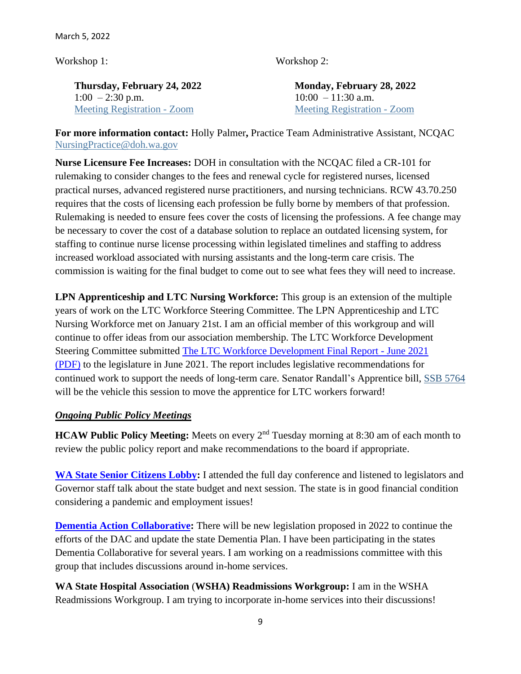March 5, 2022

Workshop 1:

Workshop 2:

**Thursday, February 24, 2022**  $1:00 - 2:30$  p.m. [Meeting Registration -](https://lnks.gd/l/eyJhbGciOiJIUzI1NiJ9.eyJidWxsZXRpbl9saW5rX2lkIjoxMDAsInVyaSI6ImJwMjpjbGljayIsImJ1bGxldGluX2lkIjoiMjAyMjAyMDIuNTI3OTMwOTEiLCJ1cmwiOiJodHRwczovL3VzMDJ3ZWIuem9vbS51cy9tZWV0aW5nL3JlZ2lzdGVyL3Rad2tkdXlwclRrakhOVWlvNEhZU2wxTEh2YUFjQ01oZkJueSJ9.IIMjjaSX7X5NvL4F1i_oyHNy8pnLvJobS-TGAUGeOmw/s/717258116/br/126038737752-l) Zoom

**Monday, February 28, 2022**  $10:00 - 11:30$  a.m. [Meeting Registration -](https://lnks.gd/l/eyJhbGciOiJIUzI1NiJ9.eyJidWxsZXRpbl9saW5rX2lkIjoxMDEsInVyaSI6ImJwMjpjbGljayIsImJ1bGxldGluX2lkIjoiMjAyMjAyMDIuNTI3OTMwOTEiLCJ1cmwiOiJodHRwczovL3VzMDJ3ZWIuem9vbS51cy9tZWV0aW5nL3JlZ2lzdGVyL3RaY3NkdWlycXowckhkMTZFcWYwN0tSeUlRd2UzcXdtYjhORCJ9.CTGFZITadWFM3H4wF3wZrRQ6LLCAxca3quCWY1Hrvac/s/717258116/br/126038737752-l) Zoom

**For more information contact:** Holly Palmer**,** Practice Team Administrative Assistant, NCQAC [NursingPractice@doh.wa.gov](mailto:NursingPractice@doh.wa.gov) 

**Nurse Licensure Fee Increases:** DOH in consultation with the NCQAC filed a CR-101 for rulemaking to consider changes to the fees and renewal cycle for registered nurses, licensed practical nurses, advanced registered nurse practitioners, and nursing technicians. RCW 43.70.250 requires that the costs of licensing each profession be fully borne by members of that profession. Rulemaking is needed to ensure fees cover the costs of licensing the professions. A fee change may be necessary to cover the cost of a database solution to replace an outdated licensing system, for staffing to continue nurse license processing within legislated timelines and staffing to address increased workload associated with nursing assistants and the long-term care crisis. The commission is waiting for the final budget to come out to see what fees they will need to increase.

**LPN Apprenticeship and LTC Nursing Workforce:** This group is an extension of the multiple years of work on the LTC Workforce Steering Committee. The LPN Apprenticeship and LTC Nursing Workforce met on January 21st. I am an official member of this workgroup and will continue to offer ideas from our association membership. The LTC Workforce Development Steering Committee submitted [The LTC Workforce Development Final Report -](https://www.doh.wa.gov/Portals/1/Documents/6000/2021LTCWorkforceDevelopmentReport.pdf) June 2021 [\(PDF\)](https://www.doh.wa.gov/Portals/1/Documents/6000/2021LTCWorkforceDevelopmentReport.pdf) to the legislature in June 2021. The report includes legislative recommendations for continued work to support the needs of long-term care. Senator Randall's Apprentice bill, [SSB 5764](https://portal.lobbygov.com/dashboard) will be the vehicle this session to move the apprentice for LTC workers forward!

### *Ongoing Public Policy Meetings*

**HCAW Public Policy Meeting:** Meets on every 2<sup>nd</sup> Tuesday morning at 8:30 am of each month to review the public policy report and make recommendations to the board if appropriate.

**[WA State Senior Citizens Lobby:](https://www.waseniorlobby.org/)** I attended the full day conference and listened to legislators and Governor staff talk about the state budget and next session. The state is in good financial condition considering a pandemic and employment issues!

**[Dementia Action Collaborative:](https://www.dshs.wa.gov/altsa/dementia-action-collaborative)** There will be new legislation proposed in 2022 to continue the efforts of the DAC and update the state Dementia Plan. I have been participating in the states Dementia Collaborative for several years. I am working on a readmissions committee with this group that includes discussions around in-home services.

**WA State Hospital Association** (**WSHA) Readmissions Workgroup:** I am in the WSHA Readmissions Workgroup. I am trying to incorporate in-home services into their discussions!